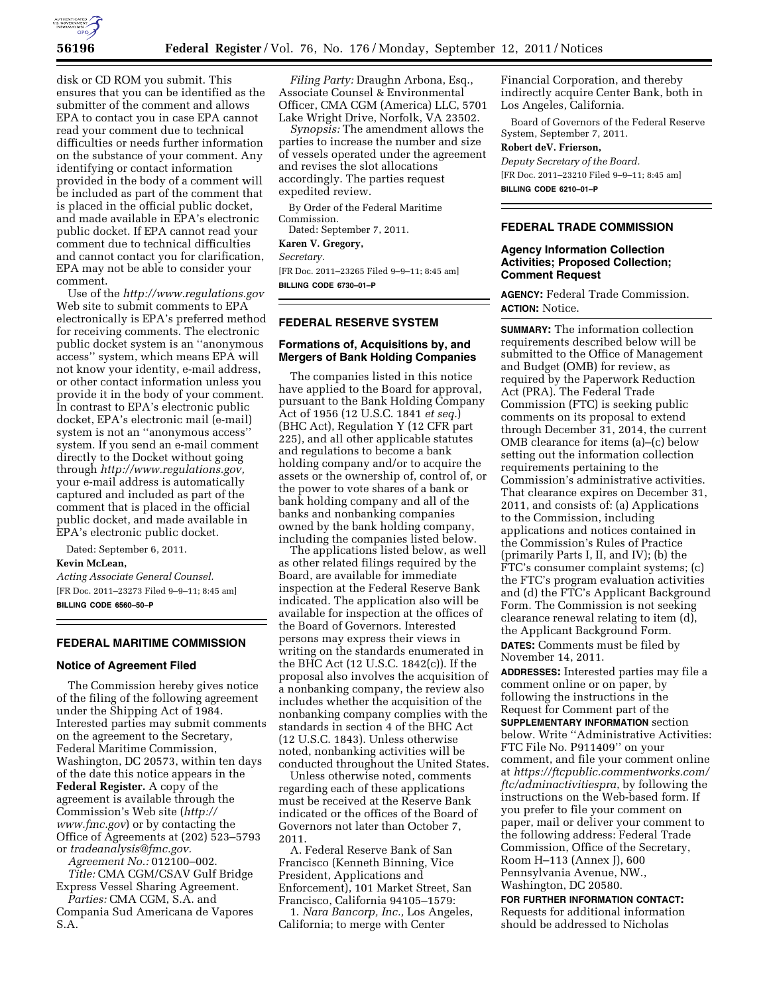

disk or CD ROM you submit. This ensures that you can be identified as the submitter of the comment and allows EPA to contact you in case EPA cannot read your comment due to technical difficulties or needs further information on the substance of your comment. Any identifying or contact information provided in the body of a comment will be included as part of the comment that is placed in the official public docket, and made available in EPA's electronic public docket. If EPA cannot read your comment due to technical difficulties and cannot contact you for clarification, EPA may not be able to consider your comment.

Use of the *<http://www.regulations.gov>*  Web site to submit comments to EPA electronically is EPA's preferred method for receiving comments. The electronic public docket system is an ''anonymous access'' system, which means EPA will not know your identity, e-mail address, or other contact information unless you provide it in the body of your comment. In contrast to EPA's electronic public docket, EPA's electronic mail (e-mail) system is not an ''anonymous access'' system. If you send an e-mail comment directly to the Docket without going through *[http://www.regulations.gov,](http://www.regulations.gov)*  your e-mail address is automatically captured and included as part of the comment that is placed in the official public docket, and made available in EPA's electronic public docket.

Dated: September 6, 2011. **Kevin McLean,** 

*Acting Associate General Counsel.*  [FR Doc. 2011–23273 Filed 9–9–11; 8:45 am] **BILLING CODE 6560–50–P** 

## **FEDERAL MARITIME COMMISSION**

### **Notice of Agreement Filed**

The Commission hereby gives notice of the filing of the following agreement under the Shipping Act of 1984. Interested parties may submit comments on the agreement to the Secretary, Federal Maritime Commission, Washington, DC 20573, within ten days of the date this notice appears in the **Federal Register.** A copy of the agreement is available through the Commission's Web site (*[http://](http://www.fmc.gov)  [www.fmc.gov](http://www.fmc.gov)*) or by contacting the Office of Agreements at (202) 523–5793 or *[tradeanalysis@fmc.gov.](mailto:tradeanalysis@fmc.gov)* 

*Agreement No.:* 012100–002. *Title:* CMA CGM/CSAV Gulf Bridge Express Vessel Sharing Agreement.

*Parties:* CMA CGM, S.A. and Compania Sud Americana de Vapores S.A.

*Filing Party:* Draughn Arbona, Esq., Associate Counsel & Environmental Officer, CMA CGM (America) LLC, 5701 Lake Wright Drive, Norfolk, VA 23502.

*Synopsis:* The amendment allows the parties to increase the number and size of vessels operated under the agreement and revises the slot allocations accordingly. The parties request expedited review.

By Order of the Federal Maritime Commission.

Dated: September 7, 2011.

**Karen V. Gregory,** 

*Secretary.* 

[FR Doc. 2011–23265 Filed 9–9–11; 8:45 am] **BILLING CODE 6730–01–P** 

# **FEDERAL RESERVE SYSTEM**

## **Formations of, Acquisitions by, and Mergers of Bank Holding Companies**

The companies listed in this notice have applied to the Board for approval, pursuant to the Bank Holding Company Act of 1956 (12 U.S.C. 1841 *et seq.*) (BHC Act), Regulation Y (12 CFR part 225), and all other applicable statutes and regulations to become a bank holding company and/or to acquire the assets or the ownership of, control of, or the power to vote shares of a bank or bank holding company and all of the banks and nonbanking companies owned by the bank holding company, including the companies listed below.

The applications listed below, as well as other related filings required by the Board, are available for immediate inspection at the Federal Reserve Bank indicated. The application also will be available for inspection at the offices of the Board of Governors. Interested persons may express their views in writing on the standards enumerated in the BHC Act (12 U.S.C. 1842(c)). If the proposal also involves the acquisition of a nonbanking company, the review also includes whether the acquisition of the nonbanking company complies with the standards in section 4 of the BHC Act (12 U.S.C. 1843). Unless otherwise noted, nonbanking activities will be conducted throughout the United States.

Unless otherwise noted, comments regarding each of these applications must be received at the Reserve Bank indicated or the offices of the Board of Governors not later than October 7, 2011.

A. Federal Reserve Bank of San Francisco (Kenneth Binning, Vice President, Applications and Enforcement), 101 Market Street, San Francisco, California 94105–1579:

1. *Nara Bancorp, Inc.,* Los Angeles, California; to merge with Center

Financial Corporation, and thereby indirectly acquire Center Bank, both in Los Angeles, California.

Board of Governors of the Federal Reserve System, September 7, 2011.

# **Robert deV. Frierson,**

*Deputy Secretary of the Board.*  [FR Doc. 2011–23210 Filed 9–9–11; 8:45 am] **BILLING CODE 6210–01–P** 

## **FEDERAL TRADE COMMISSION**

## **Agency Information Collection Activities; Proposed Collection; Comment Request**

**AGENCY:** Federal Trade Commission. **ACTION:** Notice.

**SUMMARY:** The information collection requirements described below will be submitted to the Office of Management and Budget (OMB) for review, as required by the Paperwork Reduction Act (PRA). The Federal Trade Commission (FTC) is seeking public comments on its proposal to extend through December 31, 2014, the current OMB clearance for items (a)–(c) below setting out the information collection requirements pertaining to the Commission's administrative activities. That clearance expires on December 31, 2011, and consists of: (a) Applications to the Commission, including applications and notices contained in the Commission's Rules of Practice (primarily Parts I, II, and IV); (b) the FTC's consumer complaint systems; (c) the FTC's program evaluation activities and (d) the FTC's Applicant Background Form. The Commission is not seeking clearance renewal relating to item (d), the Applicant Background Form. **DATES:** Comments must be filed by November 14, 2011.

**ADDRESSES:** Interested parties may file a comment online or on paper, by following the instructions in the Request for Comment part of the **SUPPLEMENTARY INFORMATION** section below. Write ''Administrative Activities: FTC File No. P911409'' on your comment, and file your comment online at *[https://ftcpublic.commentworks.com/](https://ftcpublic.commentworks.com/ftc/adminactivitiespra)  [ftc/adminactivitiespra](https://ftcpublic.commentworks.com/ftc/adminactivitiespra)*, by following the instructions on the Web-based form. If you prefer to file your comment on paper, mail or deliver your comment to the following address: Federal Trade Commission, Office of the Secretary, Room H–113 (Annex J), 600 Pennsylvania Avenue, NW., Washington, DC 20580.

**FOR FURTHER INFORMATION CONTACT:**  Requests for additional information should be addressed to Nicholas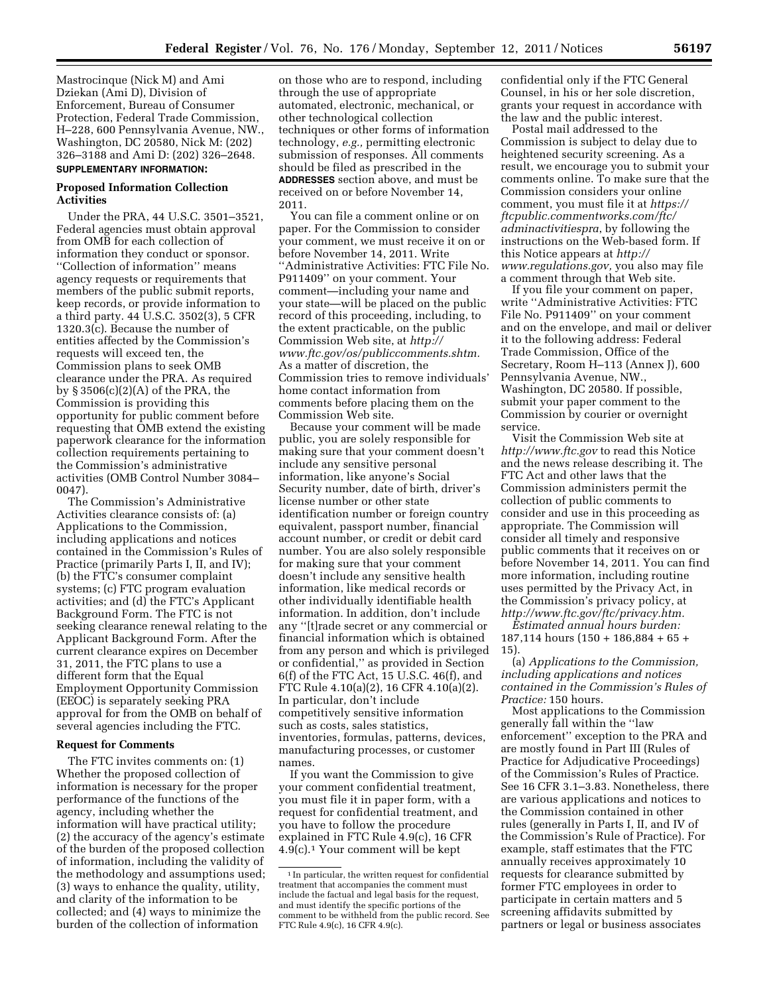Mastrocinque (Nick M) and Ami Dziekan (Ami D), Division of Enforcement, Bureau of Consumer Protection, Federal Trade Commission, H–228, 600 Pennsylvania Avenue, NW., Washington, DC 20580, Nick M: (202) 326–3188 and Ami D: (202) 326–2648. **SUPPLEMENTARY INFORMATION:** 

## **Proposed Information Collection Activities**

Under the PRA, 44 U.S.C. 3501–3521, Federal agencies must obtain approval from OMB for each collection of information they conduct or sponsor. ''Collection of information'' means agency requests or requirements that members of the public submit reports, keep records, or provide information to a third party. 44 U.S.C. 3502(3), 5 CFR 1320.3(c). Because the number of entities affected by the Commission's requests will exceed ten, the Commission plans to seek OMB clearance under the PRA. As required by § 3506(c)(2)(A) of the PRA, the Commission is providing this opportunity for public comment before requesting that OMB extend the existing paperwork clearance for the information collection requirements pertaining to the Commission's administrative activities (OMB Control Number 3084– 0047).

The Commission's Administrative Activities clearance consists of: (a) Applications to the Commission, including applications and notices contained in the Commission's Rules of Practice (primarily Parts I, II, and IV); (b) the FTC's consumer complaint systems; (c) FTC program evaluation activities; and (d) the FTC's Applicant Background Form. The FTC is not seeking clearance renewal relating to the Applicant Background Form. After the current clearance expires on December 31, 2011, the FTC plans to use a different form that the Equal Employment Opportunity Commission (EEOC) is separately seeking PRA approval for from the OMB on behalf of several agencies including the FTC.

## **Request for Comments**

The FTC invites comments on: (1) Whether the proposed collection of information is necessary for the proper performance of the functions of the agency, including whether the information will have practical utility; (2) the accuracy of the agency's estimate of the burden of the proposed collection of information, including the validity of the methodology and assumptions used; (3) ways to enhance the quality, utility, and clarity of the information to be collected; and (4) ways to minimize the burden of the collection of information

on those who are to respond, including through the use of appropriate automated, electronic, mechanical, or other technological collection techniques or other forms of information technology, *e.g.,* permitting electronic submission of responses. All comments should be filed as prescribed in the **ADDRESSES** section above, and must be received on or before November 14, 2011.

You can file a comment online or on paper. For the Commission to consider your comment, we must receive it on or before November 14, 2011. Write ''Administrative Activities: FTC File No. P911409'' on your comment. Your comment—including your name and your state—will be placed on the public record of this proceeding, including, to the extent practicable, on the public Commission Web site, at *[http://](http://www.ftc.gov/os/publiccomments.shtm)  [www.ftc.gov/os/publiccomments.shtm.](http://www.ftc.gov/os/publiccomments.shtm)*  As a matter of discretion, the Commission tries to remove individuals' home contact information from comments before placing them on the Commission Web site.

Because your comment will be made public, you are solely responsible for making sure that your comment doesn't include any sensitive personal information, like anyone's Social Security number, date of birth, driver's license number or other state identification number or foreign country equivalent, passport number, financial account number, or credit or debit card number. You are also solely responsible for making sure that your comment doesn't include any sensitive health information, like medical records or other individually identifiable health information. In addition, don't include any ''[t]rade secret or any commercial or financial information which is obtained from any person and which is privileged or confidential,'' as provided in Section 6(f) of the FTC Act, 15 U.S.C. 46(f), and FTC Rule 4.10(a)(2), 16 CFR 4.10(a)(2). In particular, don't include competitively sensitive information such as costs, sales statistics, inventories, formulas, patterns, devices, manufacturing processes, or customer names.

If you want the Commission to give your comment confidential treatment, you must file it in paper form, with a request for confidential treatment, and you have to follow the procedure explained in FTC Rule 4.9(c), 16 CFR 4.9(c).1 Your comment will be kept

confidential only if the FTC General Counsel, in his or her sole discretion, grants your request in accordance with the law and the public interest.

Postal mail addressed to the Commission is subject to delay due to heightened security screening. As a result, we encourage you to submit your comments online. To make sure that the Commission considers your online comment, you must file it at *[https://](https://ftcpublic.commentworks.com/ftc/adminactivitiespra) [ftcpublic.commentworks.com/ftc/](https://ftcpublic.commentworks.com/ftc/adminactivitiespra)  [adminactivitiespra](https://ftcpublic.commentworks.com/ftc/adminactivitiespra)*, by following the instructions on the Web-based form. If this Notice appears at *[http://](http://www.regulations.gov) [www.regulations.gov,](http://www.regulations.gov)* you also may file a comment through that Web site.

If you file your comment on paper, write ''Administrative Activities: FTC File No. P911409'' on your comment and on the envelope, and mail or deliver it to the following address: Federal Trade Commission, Office of the Secretary, Room H–113 (Annex J), 600 Pennsylvania Avenue, NW., Washington, DC 20580. If possible, submit your paper comment to the Commission by courier or overnight service.

Visit the Commission Web site at *<http://www.ftc.gov>*to read this Notice and the news release describing it. The FTC Act and other laws that the Commission administers permit the collection of public comments to consider and use in this proceeding as appropriate. The Commission will consider all timely and responsive public comments that it receives on or before November 14, 2011. You can find more information, including routine uses permitted by the Privacy Act, in the Commission's privacy policy, at *[http://www.ftc.gov/ftc/privacy.htm.](http://www.ftc.gov/ftc/privacy.htm)* 

*Estimated annual hours burden:*  187,114 hours (150 + 186,884 + 65 + 15).

(a) *Applications to the Commission, including applications and notices contained in the Commission's Rules of Practice:* 150 hours.

Most applications to the Commission generally fall within the ''law enforcement'' exception to the PRA and are mostly found in Part III (Rules of Practice for Adjudicative Proceedings) of the Commission's Rules of Practice. See 16 CFR 3.1–3.83. Nonetheless, there are various applications and notices to the Commission contained in other rules (generally in Parts I, II, and IV of the Commission's Rule of Practice). For example, staff estimates that the FTC annually receives approximately 10 requests for clearance submitted by former FTC employees in order to participate in certain matters and 5 screening affidavits submitted by partners or legal or business associates

 $^{\rm 1}$  In particular, the written request for confidential treatment that accompanies the comment must include the factual and legal basis for the request, and must identify the specific portions of the comment to be withheld from the public record. See FTC Rule 4.9(c), 16 CFR 4.9(c).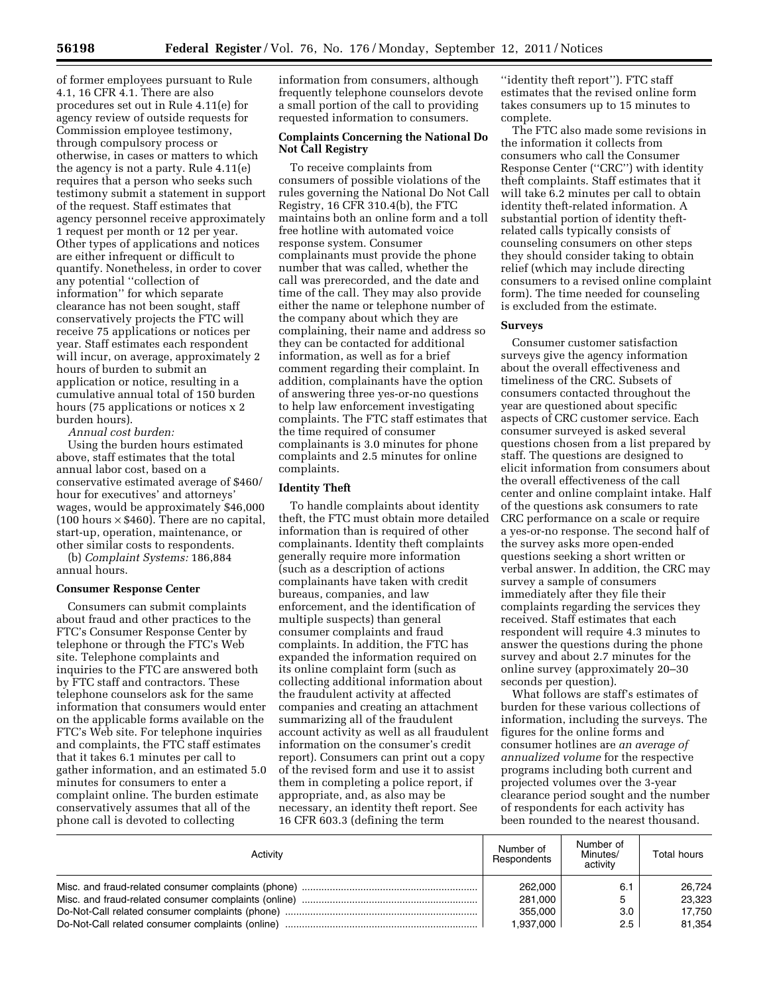of former employees pursuant to Rule 4.1, 16 CFR 4.1. There are also procedures set out in Rule 4.11(e) for agency review of outside requests for Commission employee testimony, through compulsory process or otherwise, in cases or matters to which the agency is not a party. Rule 4.11(e) requires that a person who seeks such testimony submit a statement in support of the request. Staff estimates that agency personnel receive approximately 1 request per month or 12 per year. Other types of applications and notices are either infrequent or difficult to quantify. Nonetheless, in order to cover any potential ''collection of information'' for which separate clearance has not been sought, staff conservatively projects the FTC will receive 75 applications or notices per year. Staff estimates each respondent will incur, on average, approximately 2 hours of burden to submit an application or notice, resulting in a cumulative annual total of 150 burden hours (75 applications or notices x 2 burden hours).

*Annual cost burden:* 

Using the burden hours estimated above, staff estimates that the total annual labor cost, based on a conservative estimated average of \$460/ hour for executives' and attorneys' wages, would be approximately \$46,000  $(100 \text{ hours} \times $460)$ . There are no capital, start-up, operation, maintenance, or other similar costs to respondents.

(b) *Complaint Systems:* 186,884 annual hours.

#### **Consumer Response Center**

Consumers can submit complaints about fraud and other practices to the FTC's Consumer Response Center by telephone or through the FTC's Web site. Telephone complaints and inquiries to the FTC are answered both by FTC staff and contractors. These telephone counselors ask for the same information that consumers would enter on the applicable forms available on the FTC's Web site. For telephone inquiries and complaints, the FTC staff estimates that it takes 6.1 minutes per call to gather information, and an estimated 5.0 minutes for consumers to enter a complaint online. The burden estimate conservatively assumes that all of the phone call is devoted to collecting

information from consumers, although frequently telephone counselors devote a small portion of the call to providing requested information to consumers.

# **Complaints Concerning the National Do Not Call Registry**

To receive complaints from consumers of possible violations of the rules governing the National Do Not Call Registry, 16 CFR 310.4(b), the FTC maintains both an online form and a toll free hotline with automated voice response system. Consumer complainants must provide the phone number that was called, whether the call was prerecorded, and the date and time of the call. They may also provide either the name or telephone number of the company about which they are complaining, their name and address so they can be contacted for additional information, as well as for a brief comment regarding their complaint. In addition, complainants have the option of answering three yes-or-no questions to help law enforcement investigating complaints. The FTC staff estimates that the time required of consumer complainants is 3.0 minutes for phone complaints and 2.5 minutes for online complaints.

#### **Identity Theft**

To handle complaints about identity theft, the FTC must obtain more detailed information than is required of other complainants. Identity theft complaints generally require more information (such as a description of actions complainants have taken with credit bureaus, companies, and law enforcement, and the identification of multiple suspects) than general consumer complaints and fraud complaints. In addition, the FTC has expanded the information required on its online complaint form (such as collecting additional information about the fraudulent activity at affected companies and creating an attachment summarizing all of the fraudulent account activity as well as all fraudulent information on the consumer's credit report). Consumers can print out a copy of the revised form and use it to assist them in completing a police report, if appropriate, and, as also may be necessary, an identity theft report. See 16 CFR 603.3 (defining the term

''identity theft report''). FTC staff estimates that the revised online form takes consumers up to 15 minutes to complete.

The FTC also made some revisions in the information it collects from consumers who call the Consumer Response Center (''CRC'') with identity theft complaints. Staff estimates that it will take 6.2 minutes per call to obtain identity theft-related information. A substantial portion of identity theftrelated calls typically consists of counseling consumers on other steps they should consider taking to obtain relief (which may include directing consumers to a revised online complaint form). The time needed for counseling is excluded from the estimate.

### **Surveys**

Consumer customer satisfaction surveys give the agency information about the overall effectiveness and timeliness of the CRC. Subsets of consumers contacted throughout the year are questioned about specific aspects of CRC customer service. Each consumer surveyed is asked several questions chosen from a list prepared by staff. The questions are designed to elicit information from consumers about the overall effectiveness of the call center and online complaint intake. Half of the questions ask consumers to rate CRC performance on a scale or require a yes-or-no response. The second half of the survey asks more open-ended questions seeking a short written or verbal answer. In addition, the CRC may survey a sample of consumers immediately after they file their complaints regarding the services they received. Staff estimates that each respondent will require 4.3 minutes to answer the questions during the phone survey and about 2.7 minutes for the online survey (approximately 20–30 seconds per question).

What follows are staff's estimates of burden for these various collections of information, including the surveys. The figures for the online forms and consumer hotlines are *an average of annualized volume* for the respective programs including both current and projected volumes over the 3-year clearance period sought and the number of respondents for each activity has been rounded to the nearest thousand.

| Activity                                         | Number of<br>Respondents | Number of<br>Minutes/<br>activity | Total hours |
|--------------------------------------------------|--------------------------|-----------------------------------|-------------|
|                                                  | 262.000                  | 6.1                               | 26.724      |
|                                                  | 281.000                  | 5                                 | 23,323      |
|                                                  | 355.000                  | 3.0                               | 17.750      |
| Do-Not-Call related consumer complaints (online) | 1.937.000                | 2.5                               | 81.354      |